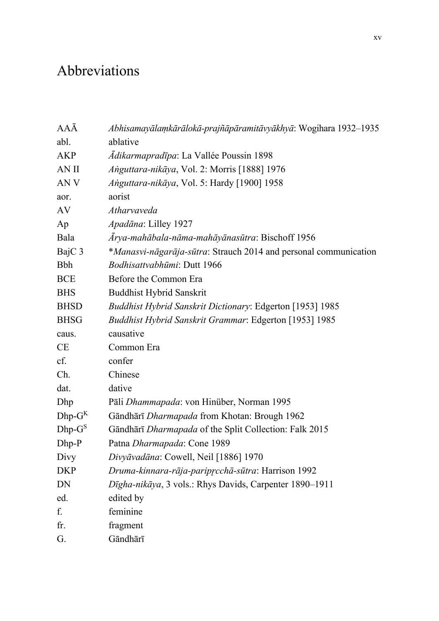## Abbreviations

| AAĀ             | Abhisamayālamkārālokā-prajñāpāramitāvyākhyā: Wogihara 1932-1935  |
|-----------------|------------------------------------------------------------------|
| abl.            | ablative                                                         |
| <b>AKP</b>      | <i>Ādikarmapradīpa</i> : La Vallée Poussin 1898                  |
| AN II           | Anguttara-nikāya, Vol. 2: Morris [1888] 1976                     |
| AN <sub>V</sub> | Anguttara-nikāya, Vol. 5: Hardy [1900] 1958                      |
| aor.            | aorist                                                           |
| AV              | Atharvaveda                                                      |
| Ap              | Apadāna: Lilley 1927                                             |
| Bala            | Ārya-mahābala-nāma-mahāyānasūtra: Bischoff 1956                  |
| BajC 3          | *Manasvi-nāgarāja-sūtra: Strauch 2014 and personal communication |
| <b>Bbh</b>      | Bodhisattvabhūmi: Dutt 1966                                      |
| <b>BCE</b>      | Before the Common Era                                            |
| <b>BHS</b>      | Buddhist Hybrid Sanskrit                                         |
| <b>BHSD</b>     | Buddhist Hybrid Sanskrit Dictionary: Edgerton [1953] 1985        |
| <b>BHSG</b>     | Buddhist Hybrid Sanskrit Grammar: Edgerton [1953] 1985           |
| caus.           | causative                                                        |
| CE              | Common Era                                                       |
| cf.             | confer                                                           |
| Ch.             | Chinese                                                          |
| dat.            | dative                                                           |
| Dhp             | Pāli Dhammapada: von Hinüber, Norman 1995                        |
| $Dhp-G^{K}$     | Gāndhārī Dharmapada from Khotan: Brough 1962                     |
| $Dhp-G^S$       | Gāndhārī Dharmapada of the Split Collection: Falk 2015           |
| Dhp-P           | Patna Dharmapada: Cone 1989                                      |
| Divy            | Divyāvadāna: Cowell, Neil [1886] 1970                            |
| <b>DKP</b>      | Druma-kinnara-rāja-pariprcchā-sūtra: Harrison 1992               |
| DN              | Dīgha-nikāya, 3 vols.: Rhys Davids, Carpenter 1890-1911          |
| ed.             | edited by                                                        |
| f.              | feminine                                                         |
| fr.             | fragment                                                         |
| G.              | Gāndhārī                                                         |
|                 |                                                                  |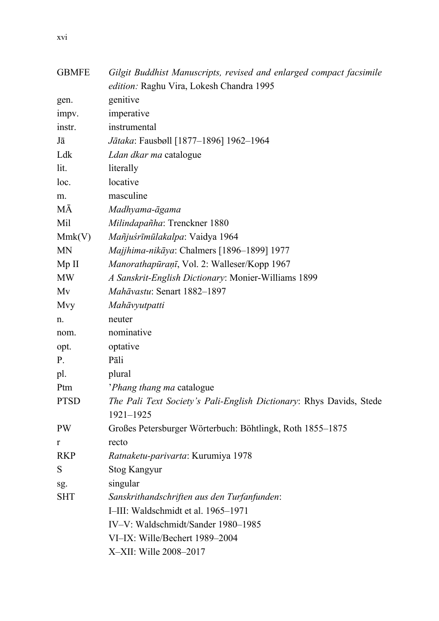| <b>GBMFE</b> | Gilgit Buddhist Manuscripts, revised and enlarged compact facsimile |
|--------------|---------------------------------------------------------------------|
|              | edition: Raghu Vira, Lokesh Chandra 1995                            |
| gen.         | genitive                                                            |
| impv.        | imperative                                                          |
| instr.       | instrumental                                                        |
| Jā           | Jātaka: Fausbøll [1877-1896] 1962-1964                              |
| Ldk          | Ldan dkar ma catalogue                                              |
| lit.         | literally                                                           |
| loc.         | locative                                                            |
| m.           | masculine                                                           |
| МĀ           | Madhyama-āgama                                                      |
| Mil          | Milindapañha: Trenckner 1880                                        |
| Mmk(V)       | Mañjuśrīmūlakalpa: Vaidya 1964                                      |
| <b>MN</b>    | Majjhima-nikāya: Chalmers [1896-1899] 1977                          |
| Mp II        | Manorathapūraņī, Vol. 2: Walleser/Kopp 1967                         |
| MW           | A Sanskrit-English Dictionary: Monier-Williams 1899                 |
| Mv           | Mahāvastu: Senart 1882-1897                                         |
| Mvy          | Mahāvyutpatti                                                       |
| n.           | neuter                                                              |
| nom.         | nominative                                                          |
| opt.         | optative                                                            |
| Ρ.           | Pāli                                                                |
| pl.          | plural                                                              |
| Ptm          | 'Phang thang ma catalogue                                           |
| <b>PTSD</b>  | The Pali Text Society's Pali-English Dictionary: Rhys Davids, Stede |
|              | 1921-1925                                                           |
| PW           | Großes Petersburger Wörterbuch: Böhtlingk, Roth 1855–1875           |
| r            | recto                                                               |
| <b>RKP</b>   | Ratnaketu-parivarta: Kurumiya 1978                                  |
| S            | <b>Stog Kangyur</b>                                                 |
| sg.          | singular                                                            |
| SHT          | Sanskrithandschriften aus den Turfanfunden:                         |
|              | I-III: Waldschmidt et al. 1965-1971                                 |
|              | IV-V: Waldschmidt/Sander 1980-1985                                  |
|              | VI-IX: Wille/Bechert 1989-2004                                      |
|              | X-XII: Wille 2008-2017                                              |